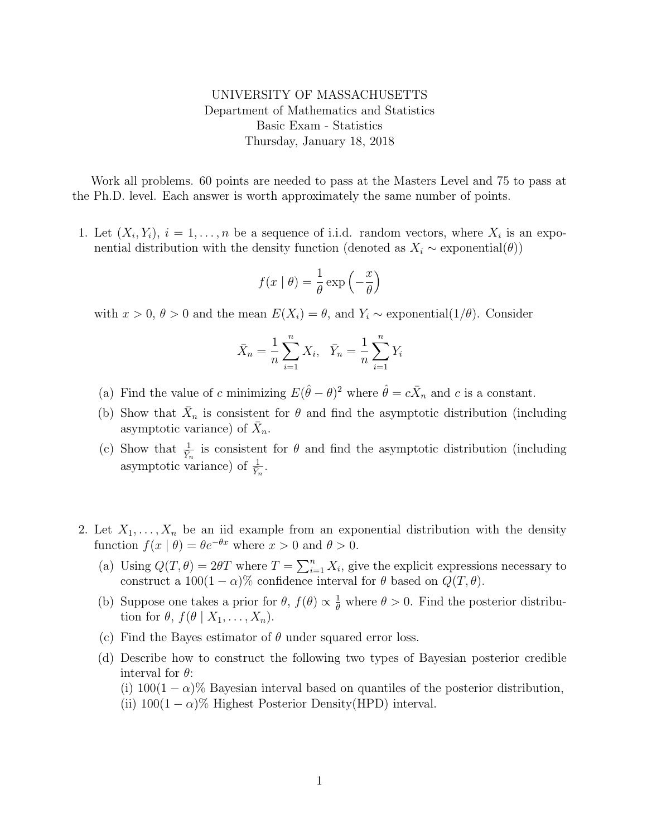UNIVERSITY OF MASSACHUSETTS Department of Mathematics and Statistics Basic Exam - Statistics Thursday, January 18, 2018

Work all problems. 60 points are needed to pass at the Masters Level and 75 to pass at the Ph.D. level. Each answer is worth approximately the same number of points.

1. Let  $(X_i, Y_i)$ ,  $i = 1, ..., n$  be a sequence of i.i.d. random vectors, where  $X_i$  is an exponential distribution with the density function (denoted as  $X_i \sim$  exponential( $\theta$ ))

$$
f(x \mid \theta) = \frac{1}{\theta} \exp\left(-\frac{x}{\theta}\right)
$$

with  $x > 0$ ,  $\theta > 0$  and the mean  $E(X_i) = \theta$ , and  $Y_i \sim$  exponential(1/ $\theta$ ). Consider

$$
\bar{X}_n = \frac{1}{n} \sum_{i=1}^n X_i, \quad \bar{Y}_n = \frac{1}{n} \sum_{i=1}^n Y_i
$$

- (a) Find the value of c minimizing  $E(\hat{\theta} \theta)^2$  where  $\hat{\theta} = c\bar{X}_n$  and c is a constant.
- (b) Show that  $\bar{X}_n$  is consistent for  $\theta$  and find the asymptotic distribution (including asymptotic variance) of  $\bar{X}_n$ .
- (c) Show that  $\frac{1}{Y_n}$  is consistent for  $\theta$  and find the asymptotic distribution (including asymptotic variance) of  $\frac{1}{Y_n}$ .
- 2. Let  $X_1, \ldots, X_n$  be an iid example from an exponential distribution with the density function  $f(x | \theta) = \theta e^{-\theta x}$  where  $x > 0$  and  $\theta > 0$ .
	- (a) Using  $Q(T, \theta) = 2\theta T$  where  $T = \sum_{i=1}^{n} X_i$ , give the explicit expressions necessary to construct a  $100(1 - \alpha)\%$  confidence interval for  $\theta$  based on  $Q(T, \theta)$ .
	- (b) Suppose one takes a prior for  $\theta$ ,  $f(\theta) \propto \frac{1}{\theta}$  where  $\theta > 0$ . Find the posterior distribution for  $\theta$ ,  $f(\theta | X_1, \ldots, X_n)$ .
	- (c) Find the Bayes estimator of  $\theta$  under squared error loss.
	- (d) Describe how to construct the following two types of Bayesian posterior credible interval for  $\theta$ :
		- (i)  $100(1 \alpha)\%$  Bayesian interval based on quantiles of the posterior distribution,
		- (ii)  $100(1 \alpha)$ % Highest Posterior Density(HPD) interval.